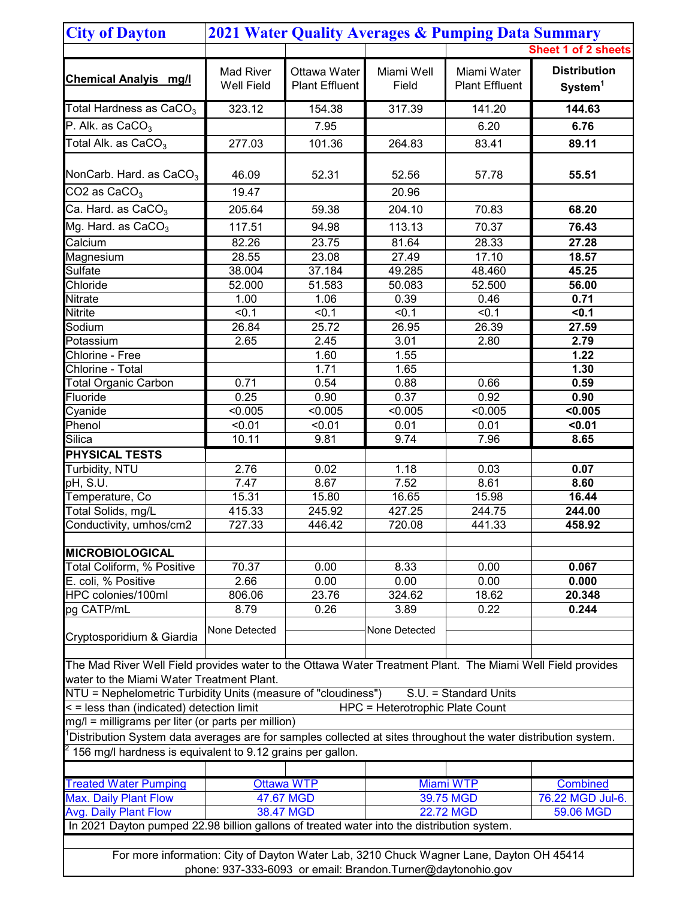| <b>City of Dayton</b>                                                                                                                                                                                                                                                                                                             | 2021 Water Quality Averages & Pumping Data Summary<br><b>Sheet 1 of 2 sheets</b>           |                                       |                     |                                      |                                            |  |  |  |
|-----------------------------------------------------------------------------------------------------------------------------------------------------------------------------------------------------------------------------------------------------------------------------------------------------------------------------------|--------------------------------------------------------------------------------------------|---------------------------------------|---------------------|--------------------------------------|--------------------------------------------|--|--|--|
| <b>Chemical Analyis mg/l</b>                                                                                                                                                                                                                                                                                                      | <b>Mad River</b><br><b>Well Field</b>                                                      | Ottawa Water<br><b>Plant Effluent</b> | Miami Well<br>Field | Miami Water<br><b>Plant Effluent</b> | <b>Distribution</b><br>System <sup>1</sup> |  |  |  |
| Total Hardness as CaCO <sub>3</sub>                                                                                                                                                                                                                                                                                               | 323.12                                                                                     | 154.38                                | 317.39              | 141.20                               | 144.63                                     |  |  |  |
| P. Alk. as CaCO <sub>3</sub>                                                                                                                                                                                                                                                                                                      |                                                                                            | 7.95                                  |                     | 6.20                                 | 6.76                                       |  |  |  |
| Total Alk. as $CaCO3$                                                                                                                                                                                                                                                                                                             | 277.03                                                                                     | 101.36                                | 264.83              | 83.41                                | 89.11                                      |  |  |  |
|                                                                                                                                                                                                                                                                                                                                   |                                                                                            |                                       |                     |                                      |                                            |  |  |  |
| NonCarb. Hard. as CaCO <sub>3</sub>                                                                                                                                                                                                                                                                                               | 46.09                                                                                      | 52.31                                 | 52.56               | 57.78                                | 55.51                                      |  |  |  |
| $CO2$ as $CaCO3$                                                                                                                                                                                                                                                                                                                  | 19.47                                                                                      |                                       | 20.96               |                                      |                                            |  |  |  |
| Ca. Hard. as $CaCO3$                                                                                                                                                                                                                                                                                                              | 205.64                                                                                     | 59.38                                 | 204.10              | 70.83                                | 68.20                                      |  |  |  |
| Mg. Hard. as CaCO <sub>3</sub>                                                                                                                                                                                                                                                                                                    | 117.51                                                                                     | 94.98                                 | 113.13              | 70.37                                | 76.43                                      |  |  |  |
| Calcium                                                                                                                                                                                                                                                                                                                           | 82.26                                                                                      | 23.75                                 | 81.64               | 28.33                                | 27.28                                      |  |  |  |
| Magnesium                                                                                                                                                                                                                                                                                                                         | 28.55                                                                                      | 23.08                                 | 27.49               | 17.10                                | 18.57                                      |  |  |  |
| <b>Sulfate</b>                                                                                                                                                                                                                                                                                                                    | 38.004                                                                                     | 37.184                                | 49.285              | 48.460                               | 45.25                                      |  |  |  |
| Chloride                                                                                                                                                                                                                                                                                                                          | 52.000                                                                                     | 51.583                                | 50.083              | 52.500                               | 56,00                                      |  |  |  |
| Nitrate                                                                                                                                                                                                                                                                                                                           | 1.00                                                                                       | 1.06                                  | 0.39                | 0.46                                 | 0.71                                       |  |  |  |
| <b>Nitrite</b>                                                                                                                                                                                                                                                                                                                    | < 0.1                                                                                      | < 0.1                                 | < 0.1               | < 0.1                                | $0.1$                                      |  |  |  |
| Sodium                                                                                                                                                                                                                                                                                                                            | 26.84                                                                                      | 25.72                                 | 26.95               | 26.39                                | 27.59                                      |  |  |  |
| Potassium                                                                                                                                                                                                                                                                                                                         | 2.65                                                                                       | 2.45                                  | 3.01                | 2.80                                 | 2.79                                       |  |  |  |
| Chlorine - Free                                                                                                                                                                                                                                                                                                                   |                                                                                            | 1.60                                  | 1.55                |                                      | 1.22                                       |  |  |  |
| Chlorine - Total                                                                                                                                                                                                                                                                                                                  |                                                                                            | 1.71                                  | 1.65                |                                      | 1.30                                       |  |  |  |
| <b>Total Organic Carbon</b>                                                                                                                                                                                                                                                                                                       | 0.71                                                                                       | 0.54                                  | 0.88                | 0.66                                 | 0.59                                       |  |  |  |
| Fluoride                                                                                                                                                                                                                                                                                                                          | 0.25                                                                                       | 0.90                                  | 0.37                | 0.92                                 | 0.90                                       |  |  |  |
| Cyanide                                                                                                                                                                                                                                                                                                                           | < 0.005                                                                                    | < 0.005                               | < 0.005             | < 0.005                              | < 0.005                                    |  |  |  |
| Phenol                                                                                                                                                                                                                                                                                                                            | < 0.01                                                                                     | < 0.01                                | 0.01                | 0.01                                 | $0.01$                                     |  |  |  |
| Silica                                                                                                                                                                                                                                                                                                                            | 10.11                                                                                      | 9.81                                  | 9.74                | 7.96                                 | 8.65                                       |  |  |  |
| <b>PHYSICAL TESTS</b>                                                                                                                                                                                                                                                                                                             |                                                                                            |                                       |                     |                                      |                                            |  |  |  |
| Turbidity, NTU                                                                                                                                                                                                                                                                                                                    | 2.76                                                                                       | 0.02                                  | 1.18                | 0.03                                 | 0.07                                       |  |  |  |
| pH, S.U.                                                                                                                                                                                                                                                                                                                          | 7.47                                                                                       | 8.67                                  | 7.52                | 8.61                                 | 8.60                                       |  |  |  |
| Temperature, Co                                                                                                                                                                                                                                                                                                                   | 15.31                                                                                      | 15.80                                 | 16.65               | 15.98                                | 16.44                                      |  |  |  |
| Total Solids, mg/L                                                                                                                                                                                                                                                                                                                | 415.33                                                                                     | 245.92                                | 427.25              | 244.75                               | 244.00                                     |  |  |  |
| Conductivity, umhos/cm2                                                                                                                                                                                                                                                                                                           | 727.33                                                                                     | 446.42                                | 720.08              | 441.33                               | 458.92                                     |  |  |  |
| <b>MICROBIOLOGICAL</b>                                                                                                                                                                                                                                                                                                            |                                                                                            |                                       |                     |                                      |                                            |  |  |  |
| Total Coliform, % Positive                                                                                                                                                                                                                                                                                                        | 70.37                                                                                      | 0.00                                  | 8.33                | 0.00                                 | 0.067                                      |  |  |  |
| E. coli, % Positive                                                                                                                                                                                                                                                                                                               | 2.66                                                                                       | 0.00                                  | 0.00                | 0.00                                 | 0.000                                      |  |  |  |
| HPC colonies/100ml                                                                                                                                                                                                                                                                                                                | 806.06                                                                                     | 23.76                                 | 324.62              | 18.62                                | 20.348                                     |  |  |  |
| pg CATP/mL                                                                                                                                                                                                                                                                                                                        | 8.79                                                                                       | 0.26                                  | 3.89                | 0.22                                 | 0.244                                      |  |  |  |
| Cryptosporidium & Giardia                                                                                                                                                                                                                                                                                                         | None Detected                                                                              |                                       | None Detected       |                                      |                                            |  |  |  |
| The Mad River Well Field provides water to the Ottawa Water Treatment Plant. The Miami Well Field provides<br>water to the Miami Water Treatment Plant.<br>NTU = Nephelometric Turbidity Units (measure of "cloudiness")<br>S.U. = Standard Units<br>< = less than (indicated) detection limit<br>HPC = Heterotrophic Plate Count |                                                                                            |                                       |                     |                                      |                                            |  |  |  |
| mg/l = milligrams per liter (or parts per million)                                                                                                                                                                                                                                                                                |                                                                                            |                                       |                     |                                      |                                            |  |  |  |
| Distribution System data averages are for samples collected at sites throughout the water distribution system.                                                                                                                                                                                                                    |                                                                                            |                                       |                     |                                      |                                            |  |  |  |
| 156 mg/l hardness is equivalent to 9.12 grains per gallon.                                                                                                                                                                                                                                                                        |                                                                                            |                                       |                     |                                      |                                            |  |  |  |
| <b>Treated Water Pumping</b>                                                                                                                                                                                                                                                                                                      |                                                                                            | <b>Ottawa WTP</b>                     |                     | <b>Miami WTP</b>                     | <b>Combined</b>                            |  |  |  |
| <b>Max. Daily Plant Flow</b><br>47.67 MGD                                                                                                                                                                                                                                                                                         |                                                                                            |                                       |                     | 39.75 MGD                            | 76.22 MGD Jul-6.                           |  |  |  |
| <b>Avg. Daily Plant Flow</b>                                                                                                                                                                                                                                                                                                      |                                                                                            | 38.47 MGD                             |                     | <b>22.72 MGD</b>                     | 59.06 MGD                                  |  |  |  |
|                                                                                                                                                                                                                                                                                                                                   | In 2021 Dayton pumped 22.98 billion gallons of treated water into the distribution system. |                                       |                     |                                      |                                            |  |  |  |
| For more information: City of Dayton Water Lab, 3210 Chuck Wagner Lane, Dayton OH 45414<br>phone: 937-333-6093 or email: Brandon.Turner@daytonohio.gov                                                                                                                                                                            |                                                                                            |                                       |                     |                                      |                                            |  |  |  |